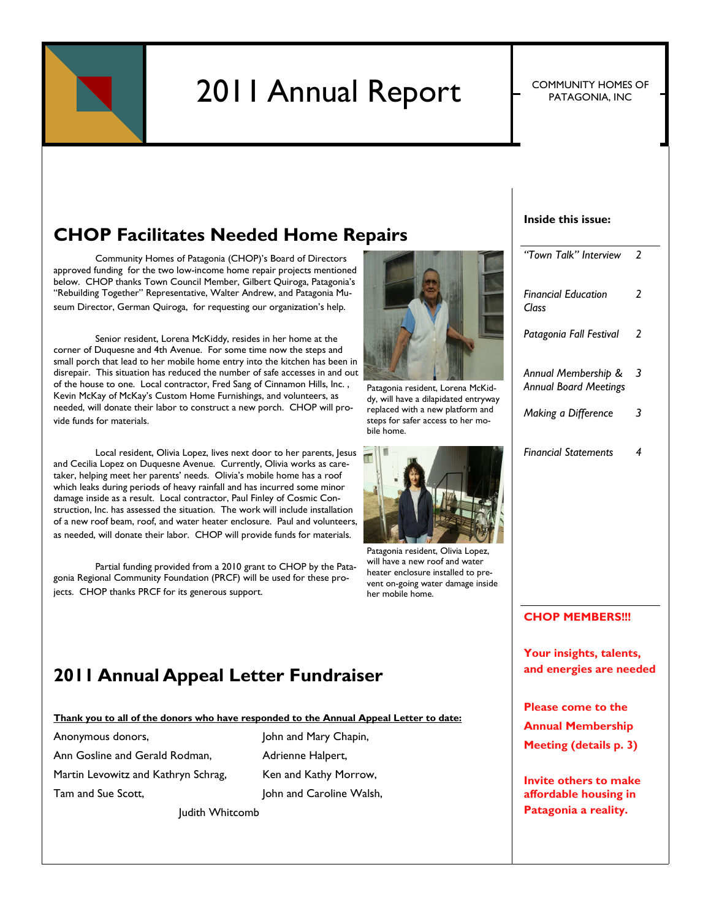

# 2011 Annual Report F COMMUNITY HOMES OF

PATAGONIA, INC

### **CHOP Facilitates Needed Home Repairs**

Community Homes of Patagonia (CHOP)'s Board of Directors approved funding for the two low-income home repair projects mentioned below. CHOP thanks Town Council Member, Gilbert Quiroga, Patagonia's "Rebuilding Together" Representative, Walter Andrew, and Patagonia Museum Director, German Quiroga, for requesting our organization's help.

Senior resident, Lorena McKiddy, resides in her home at the corner of Duquesne and 4th Avenue. For some time now the steps and small porch that lead to her mobile home entry into the kitchen has been in disrepair. This situation has reduced the number of safe accesses in and out of the house to one. Local contractor, Fred Sang of Cinnamon Hills, Inc. , Kevin McKay of McKay's Custom Home Furnishings, and volunteers, as needed, will donate their labor to construct a new porch. CHOP will provide funds for materials.

Local resident, Olivia Lopez, lives next door to her parents, Jesus and Cecilia Lopez on Duquesne Avenue. Currently, Olivia works as caretaker, helping meet her parents' needs. Olivia's mobile home has a roof which leaks during periods of heavy rainfall and has incurred some minor damage inside as a result. Local contractor, Paul Finley of Cosmic Construction, Inc. has assessed the situation. The work will include installation of a new roof beam, roof, and water heater enclosure. Paul and volunteers, as needed, will donate their labor. CHOP will provide funds for materials.

Partial funding provided from a 2010 grant to CHOP by the Patagonia Regional Community Foundation (PRCF) will be used for these projects. CHOP thanks PRCF for its generous support.



Patagonia resident, Lorena McKiddy, will have a dilapidated entryway replaced with a new platform and steps for safer access to her mobile home.



Patagonia resident, Olivia Lopez, will have a new roof and water heater enclosure installed to prevent on-going water damage inside her mobile home.

### **2011 Annual Appeal Letter Fundraiser**

**Thank you to all of the donors who have responded to the Annual Appeal Letter to date:**

Anonymous donors, John and Mary Chapin, Ann Gosline and Gerald Rodman, Adrienne Halpert, Martin Levowitz and Kathryn Schrag, Ken and Kathy Morrow, Tam and Sue Scott. **John and Caroline Walsh**,

Judith Whitcomb

#### **Inside this issue:**

| "Town Talk" Interview                               |   |
|-----------------------------------------------------|---|
| <b>Financial Education</b><br>Class                 | 2 |
| Patagonia Fall Festival                             | 2 |
| Annual Membership &<br><b>Annual Board Meetings</b> | 3 |
| Making a Difference                                 | 3 |
| <b>Financial Statements</b>                         | 4 |
|                                                     |   |

#### **CHOP MEMBERS!!!**

**Your insights, talents, and energies are needed**

**Please come to the Annual Membership Meeting (details p. 3)**

**Invite others to make affordable housing in Patagonia a reality.**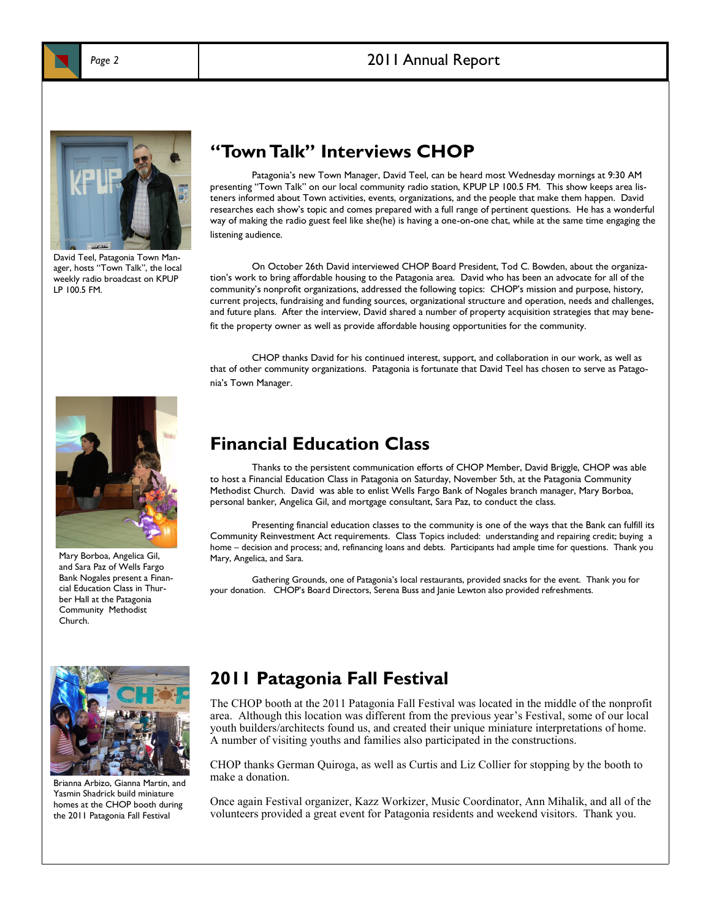

#### Page 2 2011 Annual Report



David Teel, Patagonia Town Manager, hosts "Town Talk", the local weekly radio broadcast on KPUP LP 100.5 FM.

### **"Town Talk" Interviews CHOP**

Patagonia's new Town Manager, David Teel, can be heard most Wednesday mornings at 9:30 AM presenting "Town Talk" on our local community radio station, KPUP LP 100.5 FM. This show keeps area listeners informed about Town activities, events, organizations, and the people that make them happen. David researches each show's topic and comes prepared with a full range of pertinent questions. He has a wonderful way of making the radio guest feel like she(he) is having a one-on-one chat, while at the same time engaging the listening audience.

On October 26th David interviewed CHOP Board President, Tod C. Bowden, about the organization's work to bring affordable housing to the Patagonia area. David who has been an advocate for all of the community's nonprofit organizations, addressed the following topics: CHOP's mission and purpose, history, current projects, fundraising and funding sources, organizational structure and operation, needs and challenges, and future plans. After the interview, David shared a number of property acquisition strategies that may benefit the property owner as well as provide affordable housing opportunities for the community.

CHOP thanks David for his continued interest, support, and collaboration in our work, as well as that of other community organizations. Patagonia is fortunate that David Teel has chosen to serve as Patagonia's Town Manager.



Mary Borboa, Angelica Gil, and Sara Paz of Wells Fargo Bank Nogales present a Financial Education Class in Thurber Hall at the Patagonia Community Methodist Church.

#### **Financial Education Class**

Thanks to the persistent communication efforts of CHOP Member, David Briggle, CHOP was able to host a Financial Education Class in Patagonia on Saturday, November 5th, at the Patagonia Community Methodist Church. David was able to enlist Wells Fargo Bank of Nogales branch manager, Mary Borboa, personal banker, Angelica Gil, and mortgage consultant, Sara Paz, to conduct the class.

Presenting financial education classes to the community is one of the ways that the Bank can fulfill its Community Reinvestment Act requirements. Class Topics included: understanding and repairing credit; buying a home – decision and process; and, refinancing loans and debts. Participants had ample time for questions. Thank you Mary, Angelica, and Sara.

Gathering Grounds, one of Patagonia's local restaurants, provided snacks for the event. Thank you for your donation. CHOP's Board Directors, Serena Buss and Janie Lewton also provided refreshments.



Brianna Arbizo, Gianna Martin, and Yasmin Shadrick build miniature homes at the CHOP booth during the 2011 Patagonia Fall Festival

#### **2011 Patagonia Fall Festival**

The CHOP booth at the 2011 Patagonia Fall Festival was located in the middle of the nonprofit area. Although this location was different from the previous year's Festival, some of our local youth builders/architects found us, and created their unique miniature interpretations of home. A number of visiting youths and families also participated in the constructions.

CHOP thanks German Quiroga, as well as Curtis and Liz Collier for stopping by the booth to make a donation.

Once again Festival organizer, Kazz Workizer, Music Coordinator, Ann Mihalik, and all of the volunteers provided a great event for Patagonia residents and weekend visitors. Thank you.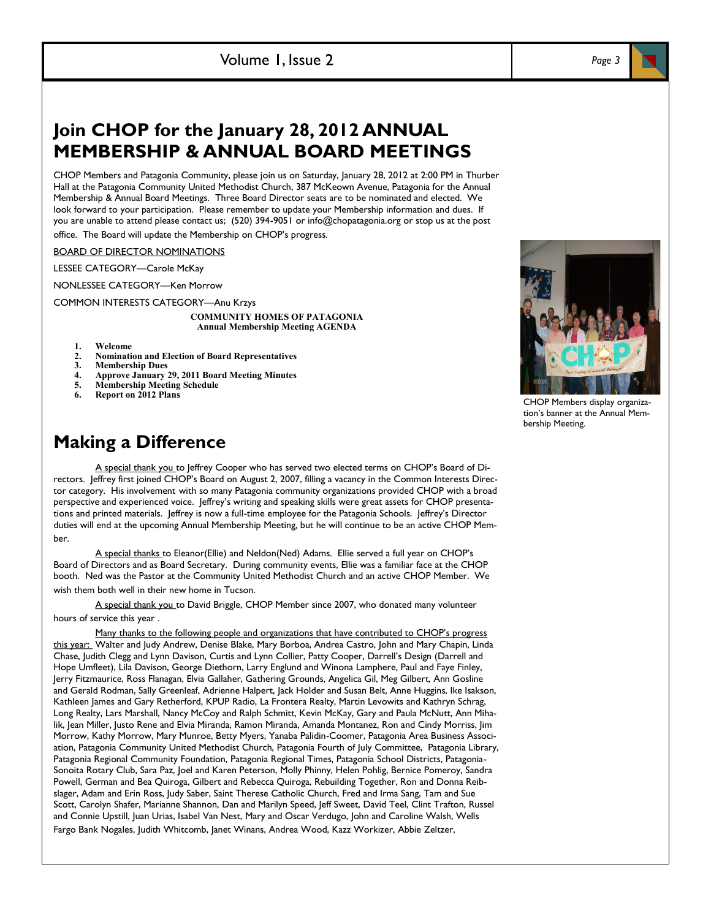## **Join CHOP for the January 28, 2012 ANNUAL MEMBERSHIP & ANNUAL BOARD MEETINGS**

CHOP Members and Patagonia Community, please join us on Saturday, January 28, 2012 at 2:00 PM in Thurber Hall at the Patagonia Community United Methodist Church, 387 McKeown Avenue, Patagonia for the Annual Membership & Annual Board Meetings. Three Board Director seats are to be nominated and elected. We look forward to your participation. Please remember to update your Membership information and dues. If you are unable to attend please contact us; (520) 394-9051 or info@chopatagonia.org or stop us at the post office. The Board will update the Membership on CHOP's progress.

BOARD OF DIRECTOR NOMINATIONS

LESSEE CATEGORY—Carole McKay

NONLESSEE CATEGORY—Ken Morrow

COMMON INTERESTS CATEGORY—Anu Krzys

**COMMUNITY HOMES OF PATAGONIA Annual Membership Meeting AGENDA**

- 
- 1. Welcome<br>
2. **Nomination**<br>
3. **Members 2. Nomination and Election of Board Representatives**
- **3. Membership Dues**
- **4. Approve January 29, 2011 Board Meeting Minutes**
- **5. Membership Meeting Schedule**
- **6. Report on 2012 Plans**

### **Making a Difference**

A special thank you to Jeffrey Cooper who has served two elected terms on CHOP's Board of Directors. Jeffrey first joined CHOP's Board on August 2, 2007, filling a vacancy in the Common Interests Director category. His involvement with so many Patagonia community organizations provided CHOP with a broad perspective and experienced voice. Jeffrey's writing and speaking skills were great assets for CHOP presentations and printed materials. Jeffrey is now a full-time employee for the Patagonia Schools. Jeffrey's Director duties will end at the upcoming Annual Membership Meeting, but he will continue to be an active CHOP Member.

A special thanks to Eleanor(Ellie) and Neldon(Ned) Adams. Ellie served a full year on CHOP's Board of Directors and as Board Secretary. During community events, Ellie was a familiar face at the CHOP booth. Ned was the Pastor at the Community United Methodist Church and an active CHOP Member. We wish them both well in their new home in Tucson.

A special thank you to David Briggle, CHOP Member since 2007, who donated many volunteer hours of service this year .

Many thanks to the following people and organizations that have contributed to CHOP's progress this year: Walter and Judy Andrew, Denise Blake, Mary Borboa, Andrea Castro, John and Mary Chapin, Linda Chase, Judith Clegg and Lynn Davison, Curtis and Lynn Collier, Patty Cooper, Darrell's Design (Darrell and Hope Umfleet), Lila Davison, George Diethorn, Larry Englund and Winona Lamphere, Paul and Faye Finley, Jerry Fitzmaurice, Ross Flanagan, Elvia Gallaher, Gathering Grounds, Angelica Gil, Meg Gilbert, Ann Gosline and Gerald Rodman, Sally Greenleaf, Adrienne Halpert, Jack Holder and Susan Belt, Anne Huggins, Ike Isakson, Kathleen James and Gary Retherford, KPUP Radio, La Frontera Realty, Martin Levowits and Kathryn Schrag, Long Realty, Lars Marshall, Nancy McCoy and Ralph Schmitt, Kevin McKay, Gary and Paula McNutt, Ann Mihalik, Jean Miller, Justo Rene and Elvia Miranda, Ramon Miranda, Amanda Montanez, Ron and Cindy Morriss, Jim Morrow, Kathy Morrow, Mary Munroe, Betty Myers, Yanaba Palidin-Coomer, Patagonia Area Business Association, Patagonia Community United Methodist Church, Patagonia Fourth of July Committee, Patagonia Library, Patagonia Regional Community Foundation, Patagonia Regional Times, Patagonia School Districts, Patagonia-Sonoita Rotary Club, Sara Paz, Joel and Karen Peterson, Molly Phinny, Helen Pohlig, Bernice Pomeroy, Sandra Powell, German and Bea Quiroga, Gilbert and Rebecca Quiroga, Rebuilding Together, Ron and Donna Reibslager, Adam and Erin Ross, Judy Saber, Saint Therese Catholic Church, Fred and Irma Sang, Tam and Sue Scott, Carolyn Shafer, Marianne Shannon, Dan and Marilyn Speed, Jeff Sweet, David Teel, Clint Trafton, Russel and Connie Upstill, Juan Urias, Isabel Van Nest, Mary and Oscar Verdugo, John and Caroline Walsh, Wells Fargo Bank Nogales, Judith Whitcomb, Janet Winans, Andrea Wood, Kazz Workizer, Abbie Zeltzer,

CHOP Members display organization's banner at the Annual Membership Meeting.